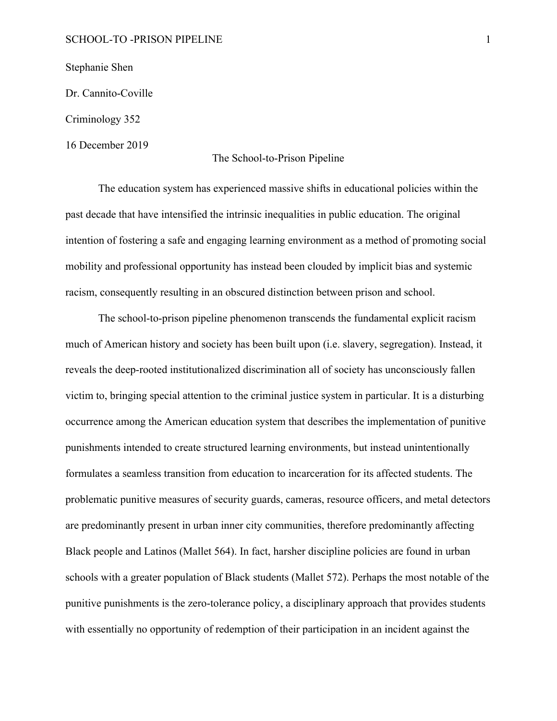## SCHOOL-TO -PRISON PIPELINE 1

Stephanie Shen

Dr. Cannito-Coville

Criminology 352

16 December 2019

### The School-to-Prison Pipeline

The education system has experienced massive shifts in educational policies within the past decade that have intensified the intrinsic inequalities in public education. The original intention of fostering a safe and engaging learning environment as a method of promoting social mobility and professional opportunity has instead been clouded by implicit bias and systemic racism, consequently resulting in an obscured distinction between prison and school.

The school-to-prison pipeline phenomenon transcends the fundamental explicit racism much of American history and society has been built upon (i.e. slavery, segregation). Instead, it reveals the deep-rooted institutionalized discrimination all of society has unconsciously fallen victim to, bringing special attention to the criminal justice system in particular. It is a disturbing occurrence among the American education system that describes the implementation of punitive punishments intended to create structured learning environments, but instead unintentionally formulates a seamless transition from education to incarceration for its affected students. The problematic punitive measures of security guards, cameras, resource officers, and metal detectors are predominantly present in urban inner city communities, therefore predominantly affecting Black people and Latinos (Mallet 564). In fact, harsher discipline policies are found in urban schools with a greater population of Black students (Mallet 572). Perhaps the most notable of the punitive punishments is the zero-tolerance policy, a disciplinary approach that provides students with essentially no opportunity of redemption of their participation in an incident against the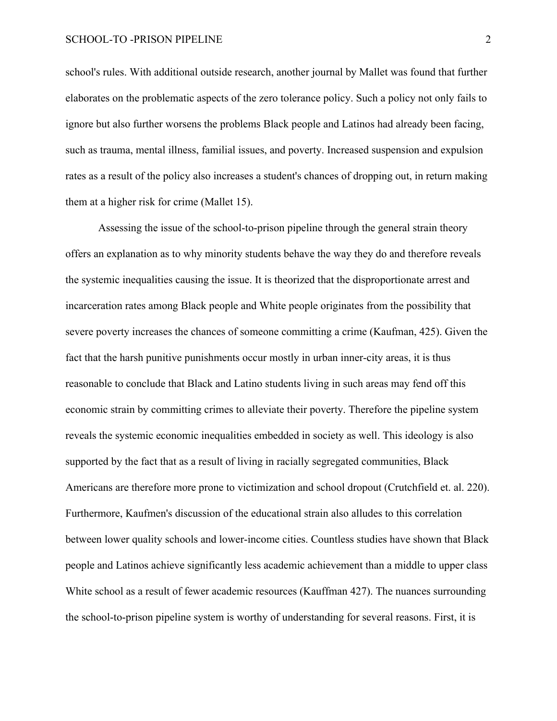### SCHOOL-TO -PRISON PIPELINE 2

school's rules. With additional outside research, another journal by Mallet was found that further elaborates on the problematic aspects of the zero tolerance policy. Such a policy not only fails to ignore but also further worsens the problems Black people and Latinos had already been facing, such as trauma, mental illness, familial issues, and poverty. Increased suspension and expulsion rates as a result of the policy also increases a student's chances of dropping out, in return making them at a higher risk for crime (Mallet 15).

Assessing the issue of the school-to-prison pipeline through the general strain theory offers an explanation as to why minority students behave the way they do and therefore reveals the systemic inequalities causing the issue. It is theorized that the disproportionate arrest and incarceration rates among Black people and White people originates from the possibility that severe poverty increases the chances of someone committing a crime (Kaufman, 425). Given the fact that the harsh punitive punishments occur mostly in urban inner-city areas, it is thus reasonable to conclude that Black and Latino students living in such areas may fend off this economic strain by committing crimes to alleviate their poverty. Therefore the pipeline system reveals the systemic economic inequalities embedded in society as well. This ideology is also supported by the fact that as a result of living in racially segregated communities, Black Americans are therefore more prone to victimization and school dropout (Crutchfield et. al. 220). Furthermore, Kaufmen's discussion of the educational strain also alludes to this correlation between lower quality schools and lower-income cities. Countless studies have shown that Black people and Latinos achieve significantly less academic achievement than a middle to upper class White school as a result of fewer academic resources (Kauffman 427). The nuances surrounding the school-to-prison pipeline system is worthy of understanding for several reasons. First, it is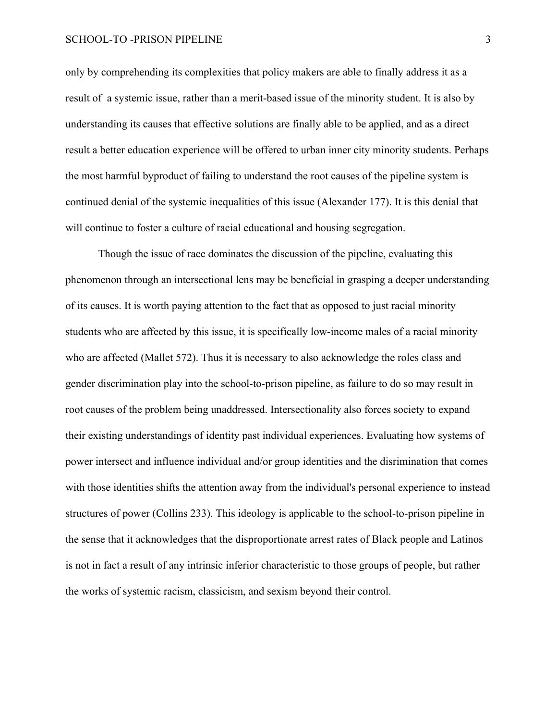### SCHOOL-TO -PRISON PIPELINE 3

only by comprehending its complexities that policy makers are able to finally address it as a result of a systemic issue, rather than a merit-based issue of the minority student. It is also by understanding its causes that effective solutions are finally able to be applied, and as a direct result a better education experience will be offered to urban inner city minority students. Perhaps the most harmful byproduct of failing to understand the root causes of the pipeline system is continued denial of the systemic inequalities of this issue (Alexander 177). It is this denial that will continue to foster a culture of racial educational and housing segregation.

Though the issue of race dominates the discussion of the pipeline, evaluating this phenomenon through an intersectional lens may be beneficial in grasping a deeper understanding of its causes. It is worth paying attention to the fact that as opposed to just racial minority students who are affected by this issue, it is specifically low-income males of a racial minority who are affected (Mallet 572). Thus it is necessary to also acknowledge the roles class and gender discrimination play into the school-to-prison pipeline, as failure to do so may result in root causes of the problem being unaddressed. Intersectionality also forces society to expand their existing understandings of identity past individual experiences. Evaluating how systems of power intersect and influence individual and/or group identities and the disrimination that comes with those identities shifts the attention away from the individual's personal experience to instead structures of power (Collins 233). This ideology is applicable to the school-to-prison pipeline in the sense that it acknowledges that the disproportionate arrest rates of Black people and Latinos is not in fact a result of any intrinsic inferior characteristic to those groups of people, but rather the works of systemic racism, classicism, and sexism beyond their control.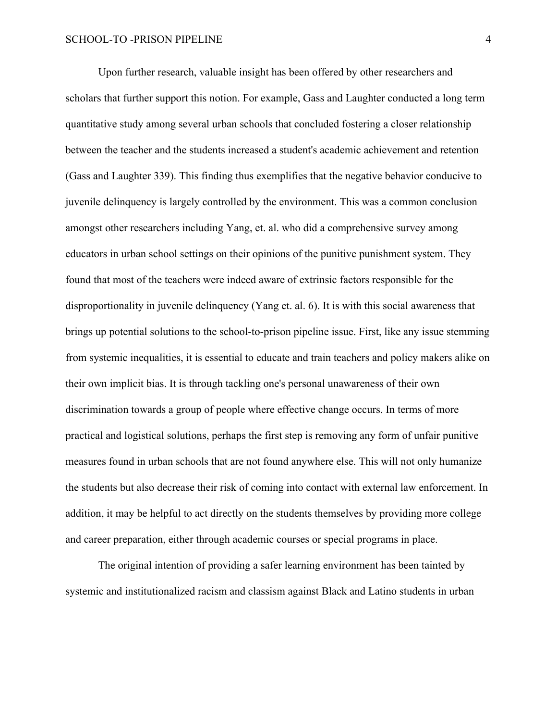Upon further research, valuable insight has been offered by other researchers and scholars that further support this notion. For example, Gass and Laughter conducted a long term quantitative study among several urban schools that concluded fostering a closer relationship between the teacher and the students increased a student's academic achievement and retention (Gass and Laughter 339). This finding thus exemplifies that the negative behavior conducive to juvenile delinquency is largely controlled by the environment. This was a common conclusion amongst other researchers including Yang, et. al. who did a comprehensive survey among educators in urban school settings on their opinions of the punitive punishment system. They found that most of the teachers were indeed aware of extrinsic factors responsible for the disproportionality in juvenile delinquency (Yang et. al. 6). It is with this social awareness that brings up potential solutions to the school-to-prison pipeline issue. First, like any issue stemming from systemic inequalities, it is essential to educate and train teachers and policy makers alike on their own implicit bias. It is through tackling one's personal unawareness of their own discrimination towards a group of people where effective change occurs. In terms of more practical and logistical solutions, perhaps the first step is removing any form of unfair punitive measures found in urban schools that are not found anywhere else. This will not only humanize the students but also decrease their risk of coming into contact with external law enforcement. In addition, it may be helpful to act directly on the students themselves by providing more college and career preparation, either through academic courses or special programs in place.

The original intention of providing a safer learning environment has been tainted by systemic and institutionalized racism and classism against Black and Latino students in urban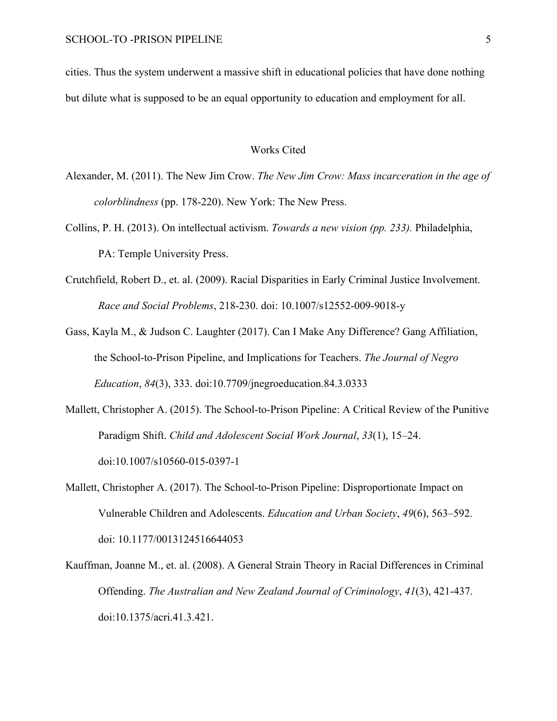cities. Thus the system underwent a massive shift in educational policies that have done nothing but dilute what is supposed to be an equal opportunity to education and employment for all.

# Works Cited

- Alexander, M. (2011). The New Jim Crow. *The New Jim Crow: Mass incarceration in the age of colorblindness* (pp. 178-220). New York: The New Press.
- Collins, P. H. (2013). On intellectual activism. *Towards a new vision (pp. 233).* Philadelphia, PA: Temple University Press.
- Crutchfield, Robert D., et. al. (2009). Racial Disparities in Early Criminal Justice Involvement. *Race and Social Problems*, 218-230. doi: 10.1007/s12552-009-9018-y
- Gass, Kayla M., & Judson C. Laughter (2017). Can I Make Any Difference? Gang Affiliation, the School-to-Prison Pipeline, and Implications for Teachers. *The Journal of Negro Education*, *84*(3), 333. doi:10.7709/jnegroeducation.84.3.0333
- Mallett, Christopher A. (2015). The School-to-Prison Pipeline: A Critical Review of the Punitive Paradigm Shift. *Child and Adolescent Social Work Journal*, *33*(1), 15–24. doi:10.1007/s10560-015-0397-1
- Mallett, Christopher A. (2017). The School-to-Prison Pipeline: Disproportionate Impact on Vulnerable Children and Adolescents. *Education and Urban Society*, *49*(6), 563–592. doi: 10.1177/0013124516644053
- Kauffman, Joanne M., et. al. (2008). A General Strain Theory in Racial Differences in Criminal Offending. *The Australian and New Zealand Journal of Criminology*, *41*(3), 421-437. doi:10.1375/acri.41.3.421.